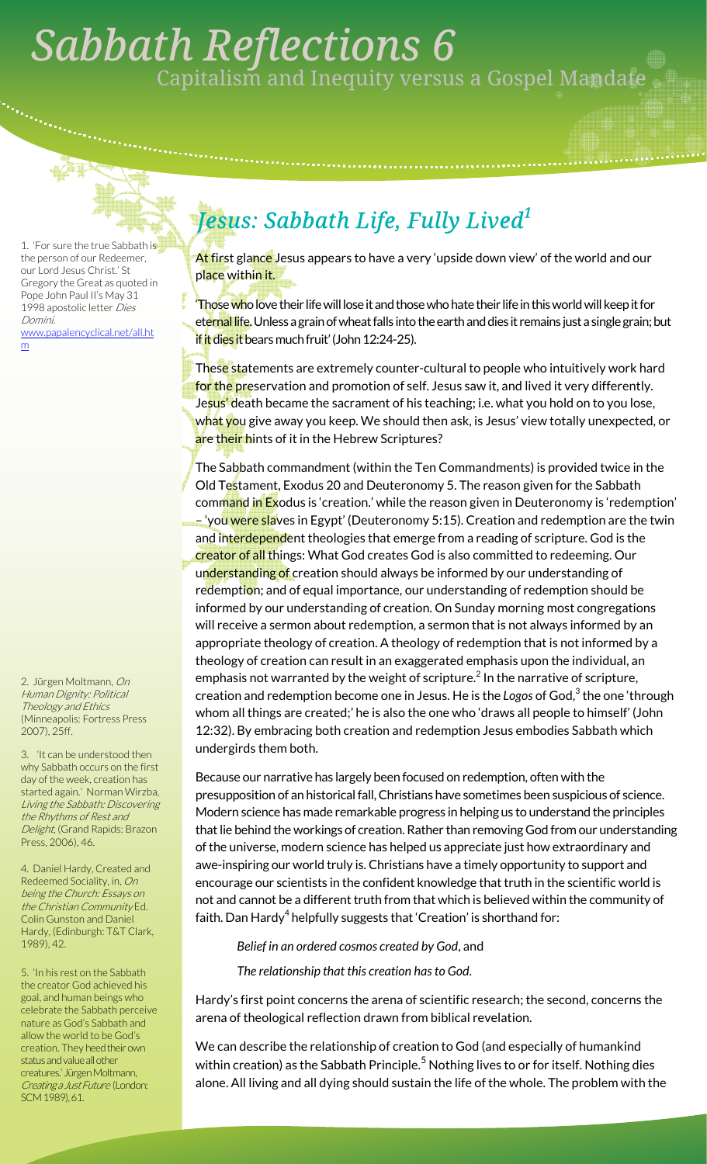## . *Sabbath Reflections 6*  Capitalism and Inequity versus a Gospel Mandate

1. 'For sure the true Sabbath is the person of our Redeemer, our Lord Jesus Christ.' St Gregory the Great as quoted in Pope John Paul II's May 31 1998 apostolic letter Dies Domini. alencyclical.net/all.ht

m

2. Jürgen Moltmann, On Human Dignity: Political Theology and Ethics (Minneapolis: Fortress Press 2007), 25ff.

3. 'It can be understood then why Sabbath occurs on the first day of the week, creation has started again.' Norman Wirzba, Living the Sabbath: Discovering the Rhythms of Rest and Delight, (Grand Rapids: Brazon Press, 2006), 46.

4. Daniel Hardy, Created and Redeemed Sociality, in, On being the Church: Essays on the Christian Community Ed. Colin Gunston and Daniel Hardy, (Edinburgh: T&T Clark, 1989), 42.

5. 'In his rest on the Sabbath the creator God achieved his goal, and human beings who celebrate the Sabbath perceive nature as God's Sabbath and allow the world to be God's creation. They heed their own status and value all other creatures.' Jürgen Moltmann, Creating a Just Future (London: SCM 1989), 61.

## *Jesus: Sabbath Life, Fully Lived<sup>1</sup>*

At first glance Jesus appears to have a very 'upside down view' of the world and our place within it.

Those who love their life will lose it and those who hate their life in this world will keep it for eternal life. Unless a grain of wheat falls into the earth and dies it remains just a single grain; but if it dies it bears much fruit' (John 12:24-25).

These statements are extremely counter-cultural to people who intuitively work hard for the preservation and promotion of self. Jesus saw it, and lived it very differently. Jesus' death became the sacrament of his teaching; i.e. what you hold on to you lose, w<mark>hat yo</mark>u give away you keep. We should then ask, is Jesus' view totally unexpected, or are their hints of it in the Hebrew Scriptures?

The Sabbath commandment (within the Ten Commandments) is provided twice in the Old Testament, Exodus 20 and Deuteronomy 5. The reason given for the Sabbath command in Exodus is 'creation.' while the reason given in Deuteronomy is 'redemption' – 'you were slaves in Egypt' (Deuteronomy 5:15). Creation and redemption are the twin and interdependent theologies that emerge from a reading of scripture. God is the creator of all things: What God creates God is also committed to redeeming. Our understanding of creation should always be informed by our understanding of redemption; and of equal importance, our understanding of redemption should be informed by our understanding of creation. On Sunday morning most congregations will receive a sermon about redemption, a sermon that is not always informed by an appropriate theology of creation. A theology of redemption that is not informed by a theology of creation can result in an exaggerated emphasis upon the individual, an emphasis not warranted by the weight of scripture. $^2$  In the narrative of scripture, creation and redemption become one in Jesus. He is the Logos of God,<sup>3</sup> the one 'through whom all things are created;' he is also the one who 'draws all people to himself' (John 12:32). By embracing both creation and redemption Jesus embodies Sabbath which undergirds them both.

Because our narrative has largely been focused on redemption, often with the presupposition of an historical fall, Christians have sometimes been suspicious of science. Modern science has made remarkable progress in helping us to understand the principles that lie behind the workings of creation. Rather than removing God from our understanding of the universe, modern science has helped us appreciate just how extraordinary and awe-inspiring our world truly is. Christians have a timely opportunity to support and encourage our scientists in the confident knowledge that truth in the scientific world is not and cannot be a different truth from that which is believed within the community of faith. Dan Hardy $^4$  helpfully suggests that 'Creation' is shorthand for:

*Belief in an ordered cosmos created by God*, and *The relationship that this creation has to God*.

Hardy's first point concerns the arena of scientific research; the second, concerns the arena of theological reflection drawn from biblical revelation.

We can describe the relationship of creation to God (and especially of humankind within creation) as the Sabbath Principle. $^5$  Nothing lives to or for itself. Nothing dies alone. All living and all dying should sustain the life of the whole. The problem with the